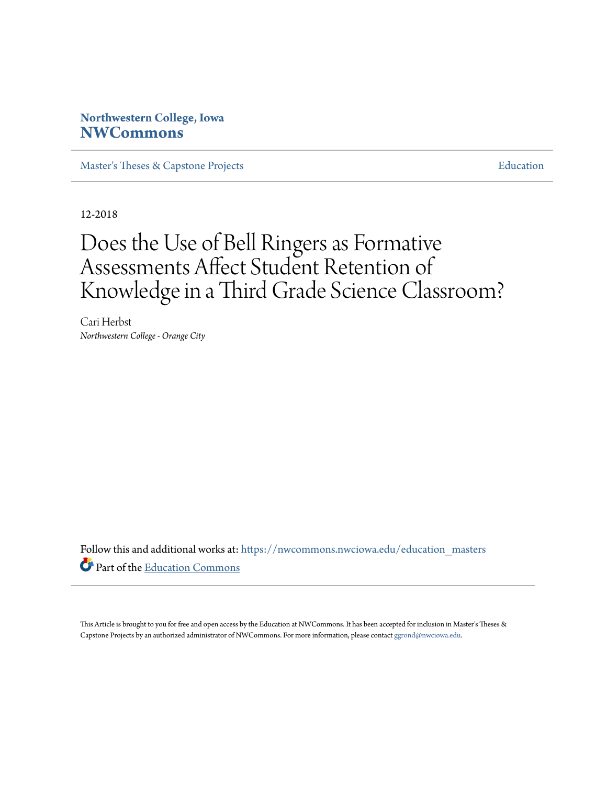# **Northwestern College, Iowa [NWCommons](https://nwcommons.nwciowa.edu?utm_source=nwcommons.nwciowa.edu%2Feducation_masters%2F97&utm_medium=PDF&utm_campaign=PDFCoverPages)**

[Master's Theses & Capstone Projects](https://nwcommons.nwciowa.edu/education_masters?utm_source=nwcommons.nwciowa.edu%2Feducation_masters%2F97&utm_medium=PDF&utm_campaign=PDFCoverPages) **[Education](https://nwcommons.nwciowa.edu/education?utm_source=nwcommons.nwciowa.edu%2Feducation_masters%2F97&utm_medium=PDF&utm_campaign=PDFCoverPages)** 

12-2018

# Does the Use of Bell Ringers as Formative Assessments Affect Student Retention of Knowledge in a Third Grade Science Classroom?

Cari Herbst *Northwestern College - Orange City*

Follow this and additional works at: [https://nwcommons.nwciowa.edu/education\\_masters](https://nwcommons.nwciowa.edu/education_masters?utm_source=nwcommons.nwciowa.edu%2Feducation_masters%2F97&utm_medium=PDF&utm_campaign=PDFCoverPages) Part of the [Education Commons](http://network.bepress.com/hgg/discipline/784?utm_source=nwcommons.nwciowa.edu%2Feducation_masters%2F97&utm_medium=PDF&utm_campaign=PDFCoverPages)

This Article is brought to you for free and open access by the Education at NWCommons. It has been accepted for inclusion in Master's Theses & Capstone Projects by an authorized administrator of NWCommons. For more information, please contact [ggrond@nwciowa.edu.](mailto:ggrond@nwciowa.edu)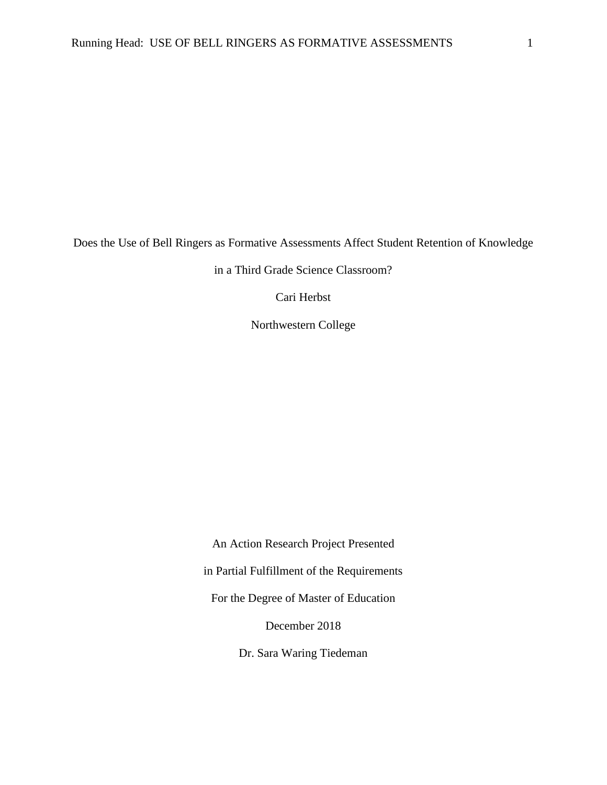Does the Use of Bell Ringers as Formative Assessments Affect Student Retention of Knowledge

in a Third Grade Science Classroom?

Cari Herbst

Northwestern College

An Action Research Project Presented in Partial Fulfillment of the Requirements For the Degree of Master of Education December 2018

Dr. Sara Waring Tiedeman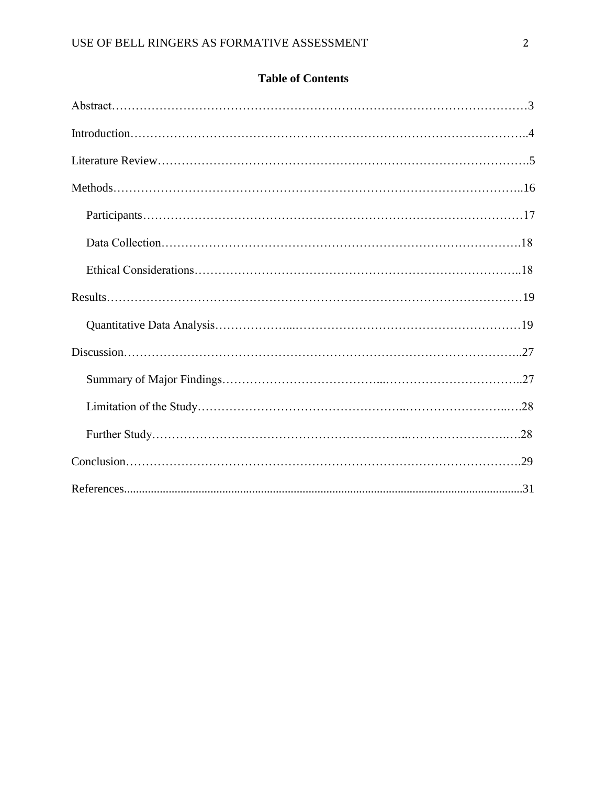| <b>Table of Contents</b> |  |
|--------------------------|--|
|--------------------------|--|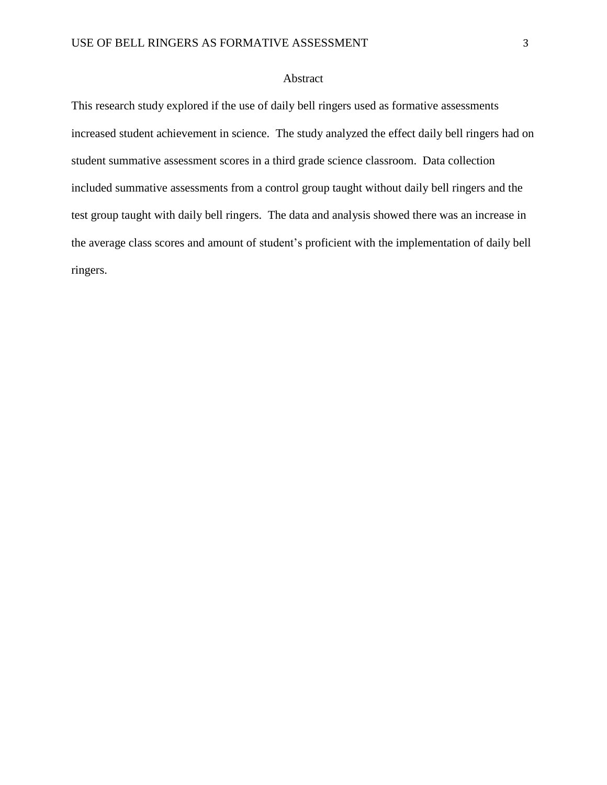# Abstract

This research study explored if the use of daily bell ringers used as formative assessments increased student achievement in science. The study analyzed the effect daily bell ringers had on student summative assessment scores in a third grade science classroom. Data collection included summative assessments from a control group taught without daily bell ringers and the test group taught with daily bell ringers. The data and analysis showed there was an increase in the average class scores and amount of student's proficient with the implementation of daily bell ringers.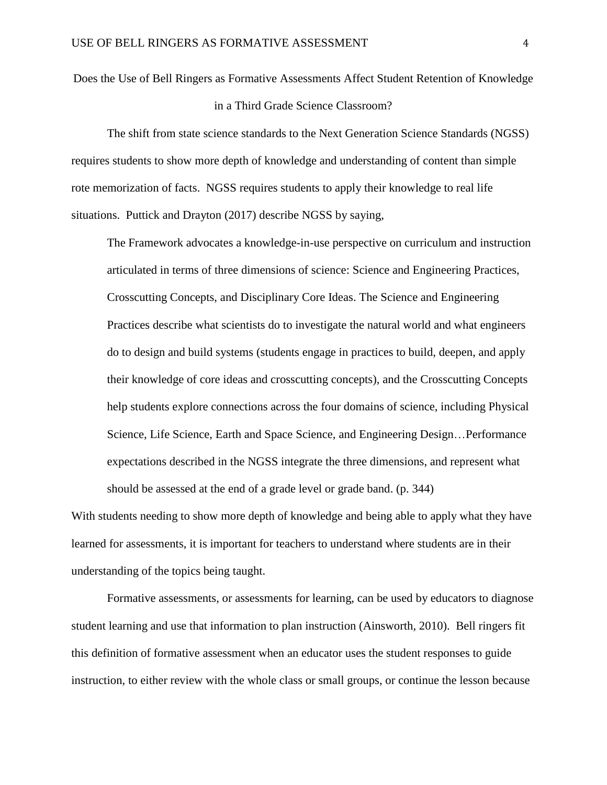Does the Use of Bell Ringers as Formative Assessments Affect Student Retention of Knowledge in a Third Grade Science Classroom?

The shift from state science standards to the Next Generation Science Standards (NGSS) requires students to show more depth of knowledge and understanding of content than simple rote memorization of facts. NGSS requires students to apply their knowledge to real life situations. Puttick and Drayton (2017) describe NGSS by saying,

The Framework advocates a knowledge-in-use perspective on curriculum and instruction articulated in terms of three dimensions of science: Science and Engineering Practices, Crosscutting Concepts, and Disciplinary Core Ideas. The Science and Engineering Practices describe what scientists do to investigate the natural world and what engineers do to design and build systems (students engage in practices to build, deepen, and apply their knowledge of core ideas and crosscutting concepts), and the Crosscutting Concepts help students explore connections across the four domains of science, including Physical Science, Life Science, Earth and Space Science, and Engineering Design…Performance expectations described in the NGSS integrate the three dimensions, and represent what should be assessed at the end of a grade level or grade band. (p. 344)

With students needing to show more depth of knowledge and being able to apply what they have learned for assessments, it is important for teachers to understand where students are in their understanding of the topics being taught.

Formative assessments, or assessments for learning, can be used by educators to diagnose student learning and use that information to plan instruction (Ainsworth, 2010). Bell ringers fit this definition of formative assessment when an educator uses the student responses to guide instruction, to either review with the whole class or small groups, or continue the lesson because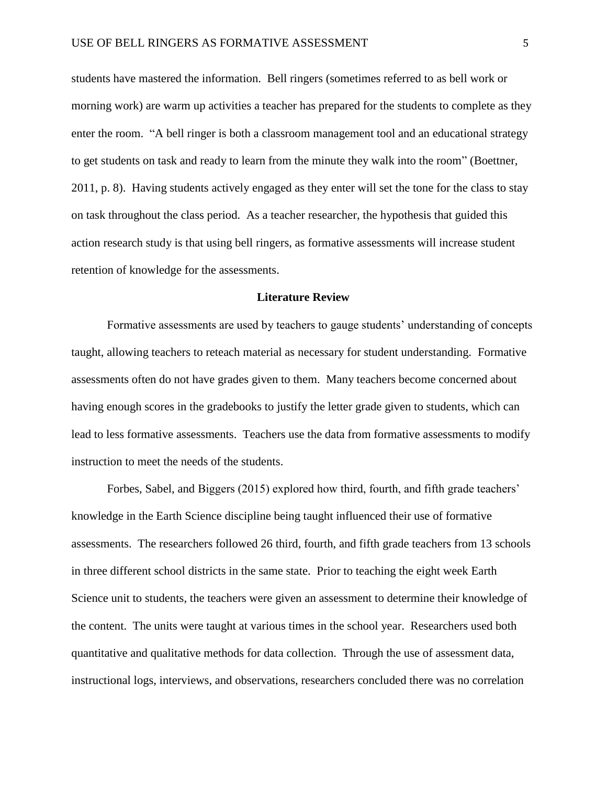students have mastered the information. Bell ringers (sometimes referred to as bell work or morning work) are warm up activities a teacher has prepared for the students to complete as they enter the room. "A bell ringer is both a classroom management tool and an educational strategy to get students on task and ready to learn from the minute they walk into the room" (Boettner, 2011, p. 8). Having students actively engaged as they enter will set the tone for the class to stay on task throughout the class period. As a teacher researcher, the hypothesis that guided this action research study is that using bell ringers, as formative assessments will increase student retention of knowledge for the assessments.

#### **Literature Review**

<span id="page-5-0"></span>Formative assessments are used by teachers to gauge students' understanding of concepts taught, allowing teachers to reteach material as necessary for student understanding. Formative assessments often do not have grades given to them. Many teachers become concerned about having enough scores in the gradebooks to justify the letter grade given to students, which can lead to less formative assessments. Teachers use the data from formative assessments to modify instruction to meet the needs of the students.

Forbes, Sabel, and Biggers (2015) explored how third, fourth, and fifth grade teachers' knowledge in the Earth Science discipline being taught influenced their use of formative assessments. The researchers followed 26 third, fourth, and fifth grade teachers from 13 schools in three different school districts in the same state. Prior to teaching the eight week Earth Science unit to students, the teachers were given an assessment to determine their knowledge of the content. The units were taught at various times in the school year. Researchers used both quantitative and qualitative methods for data collection. Through the use of assessment data, instructional logs, interviews, and observations, researchers concluded there was no correlation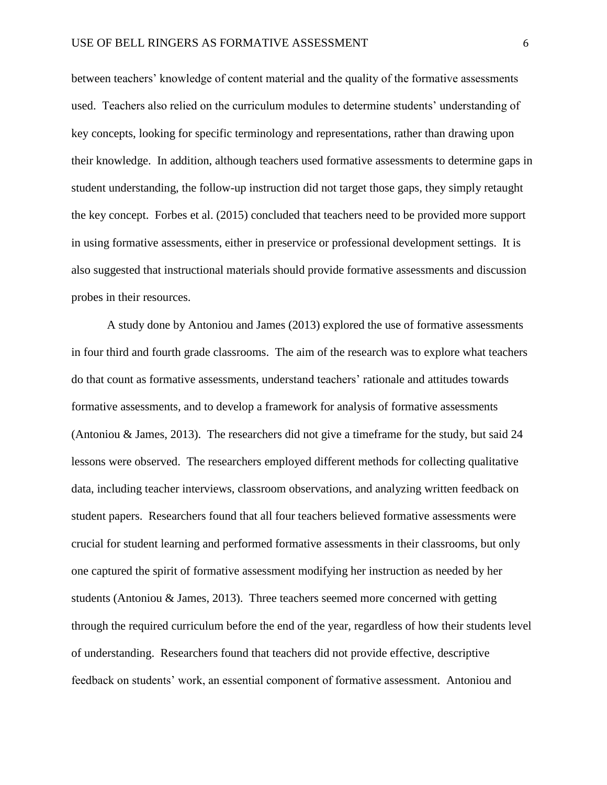between teachers' knowledge of content material and the quality of the formative assessments used. Teachers also relied on the curriculum modules to determine students' understanding of key concepts, looking for specific terminology and representations, rather than drawing upon their knowledge. In addition, although teachers used formative assessments to determine gaps in student understanding, the follow-up instruction did not target those gaps, they simply retaught the key concept. Forbes et al. (2015) concluded that teachers need to be provided more support in using formative assessments, either in preservice or professional development settings. It is also suggested that instructional materials should provide formative assessments and discussion probes in their resources.

A study done by Antoniou and James (2013) explored the use of formative assessments in four third and fourth grade classrooms. The aim of the research was to explore what teachers do that count as formative assessments, understand teachers' rationale and attitudes towards formative assessments, and to develop a framework for analysis of formative assessments (Antoniou & James, 2013). The researchers did not give a timeframe for the study, but said 24 lessons were observed. The researchers employed different methods for collecting qualitative data, including teacher interviews, classroom observations, and analyzing written feedback on student papers. Researchers found that all four teachers believed formative assessments were crucial for student learning and performed formative assessments in their classrooms, but only one captured the spirit of formative assessment modifying her instruction as needed by her students (Antoniou  $\&$  James, 2013). Three teachers seemed more concerned with getting through the required curriculum before the end of the year, regardless of how their students level of understanding. Researchers found that teachers did not provide effective, descriptive feedback on students' work, an essential component of formative assessment. Antoniou and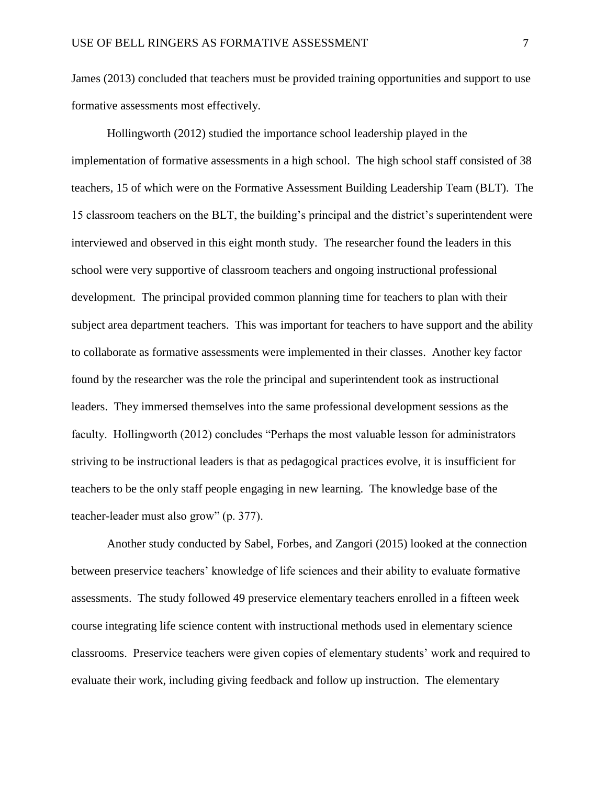James (2013) concluded that teachers must be provided training opportunities and support to use formative assessments most effectively.

Hollingworth (2012) studied the importance school leadership played in the implementation of formative assessments in a high school. The high school staff consisted of 38 teachers, 15 of which were on the Formative Assessment Building Leadership Team (BLT). The 15 classroom teachers on the BLT, the building's principal and the district's superintendent were interviewed and observed in this eight month study. The researcher found the leaders in this school were very supportive of classroom teachers and ongoing instructional professional development. The principal provided common planning time for teachers to plan with their subject area department teachers. This was important for teachers to have support and the ability to collaborate as formative assessments were implemented in their classes. Another key factor found by the researcher was the role the principal and superintendent took as instructional leaders. They immersed themselves into the same professional development sessions as the faculty. Hollingworth (2012) concludes "Perhaps the most valuable lesson for administrators striving to be instructional leaders is that as pedagogical practices evolve, it is insufficient for teachers to be the only staff people engaging in new learning. The knowledge base of the teacher-leader must also grow" (p. 377).

Another study conducted by Sabel, Forbes, and Zangori (2015) looked at the connection between preservice teachers' knowledge of life sciences and their ability to evaluate formative assessments. The study followed 49 preservice elementary teachers enrolled in a fifteen week course integrating life science content with instructional methods used in elementary science classrooms. Preservice teachers were given copies of elementary students' work and required to evaluate their work, including giving feedback and follow up instruction. The elementary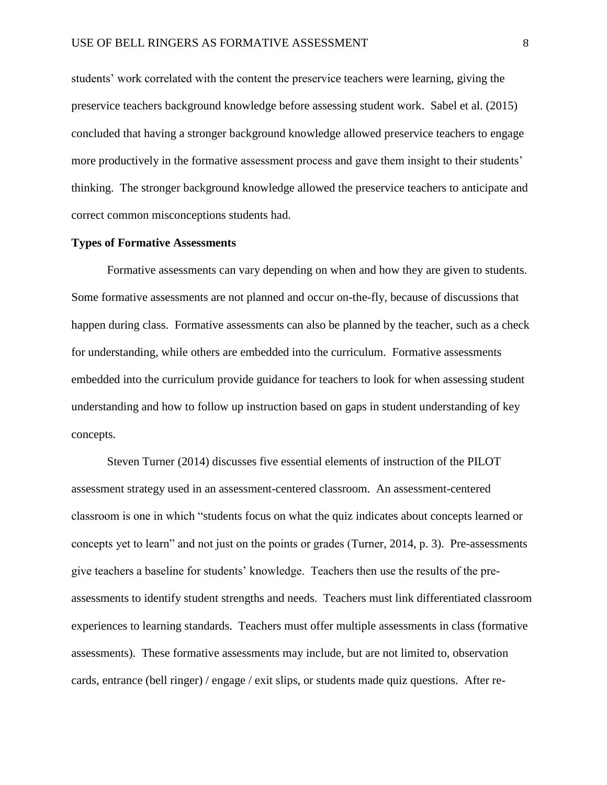students' work correlated with the content the preservice teachers were learning, giving the preservice teachers background knowledge before assessing student work. Sabel et al. (2015) concluded that having a stronger background knowledge allowed preservice teachers to engage more productively in the formative assessment process and gave them insight to their students' thinking. The stronger background knowledge allowed the preservice teachers to anticipate and correct common misconceptions students had.

# **Types of Formative Assessments**

Formative assessments can vary depending on when and how they are given to students. Some formative assessments are not planned and occur on-the-fly, because of discussions that happen during class. Formative assessments can also be planned by the teacher, such as a check for understanding, while others are embedded into the curriculum. Formative assessments embedded into the curriculum provide guidance for teachers to look for when assessing student understanding and how to follow up instruction based on gaps in student understanding of key concepts.

Steven Turner (2014) discusses five essential elements of instruction of the PILOT assessment strategy used in an assessment-centered classroom. An assessment-centered classroom is one in which "students focus on what the quiz indicates about concepts learned or concepts yet to learn" and not just on the points or grades (Turner, 2014, p. 3). Pre-assessments give teachers a baseline for students' knowledge. Teachers then use the results of the preassessments to identify student strengths and needs. Teachers must link differentiated classroom experiences to learning standards. Teachers must offer multiple assessments in class (formative assessments). These formative assessments may include, but are not limited to, observation cards, entrance (bell ringer) / engage / exit slips, or students made quiz questions. After re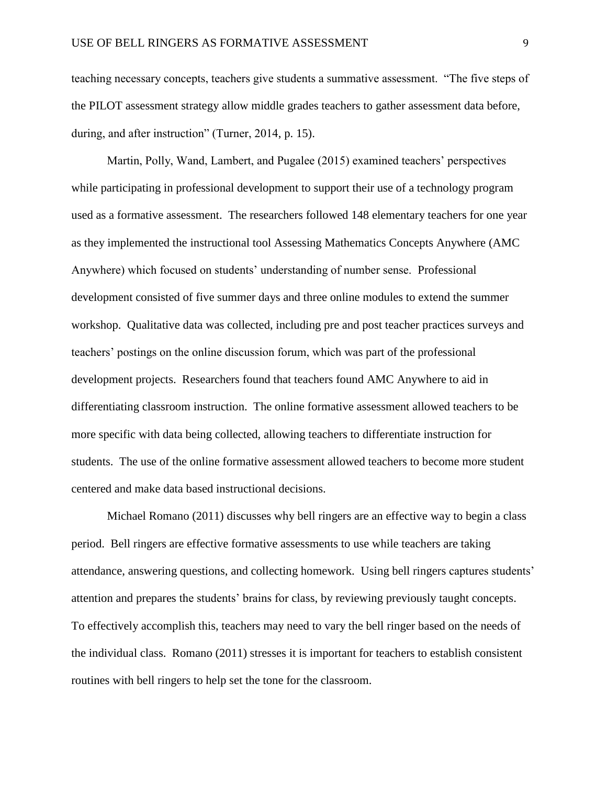teaching necessary concepts, teachers give students a summative assessment. "The five steps of the PILOT assessment strategy allow middle grades teachers to gather assessment data before, during, and after instruction" (Turner, 2014, p. 15).

Martin, Polly, Wand, Lambert, and Pugalee (2015) examined teachers' perspectives while participating in professional development to support their use of a technology program used as a formative assessment. The researchers followed 148 elementary teachers for one year as they implemented the instructional tool Assessing Mathematics Concepts Anywhere (AMC Anywhere) which focused on students' understanding of number sense. Professional development consisted of five summer days and three online modules to extend the summer workshop. Qualitative data was collected, including pre and post teacher practices surveys and teachers' postings on the online discussion forum, which was part of the professional development projects. Researchers found that teachers found AMC Anywhere to aid in differentiating classroom instruction. The online formative assessment allowed teachers to be more specific with data being collected, allowing teachers to differentiate instruction for students. The use of the online formative assessment allowed teachers to become more student centered and make data based instructional decisions.

Michael Romano (2011) discusses why bell ringers are an effective way to begin a class period. Bell ringers are effective formative assessments to use while teachers are taking attendance, answering questions, and collecting homework. Using bell ringers captures students' attention and prepares the students' brains for class, by reviewing previously taught concepts. To effectively accomplish this, teachers may need to vary the bell ringer based on the needs of the individual class. Romano (2011) stresses it is important for teachers to establish consistent routines with bell ringers to help set the tone for the classroom.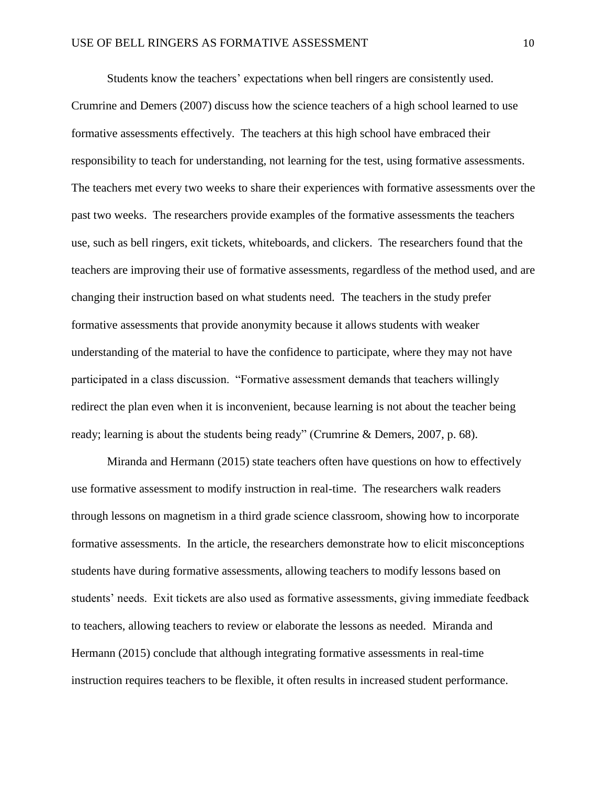Students know the teachers' expectations when bell ringers are consistently used. Crumrine and Demers (2007) discuss how the science teachers of a high school learned to use formative assessments effectively. The teachers at this high school have embraced their responsibility to teach for understanding, not learning for the test, using formative assessments. The teachers met every two weeks to share their experiences with formative assessments over the past two weeks. The researchers provide examples of the formative assessments the teachers use, such as bell ringers, exit tickets, whiteboards, and clickers. The researchers found that the teachers are improving their use of formative assessments, regardless of the method used, and are changing their instruction based on what students need. The teachers in the study prefer formative assessments that provide anonymity because it allows students with weaker understanding of the material to have the confidence to participate, where they may not have participated in a class discussion. "Formative assessment demands that teachers willingly redirect the plan even when it is inconvenient, because learning is not about the teacher being ready; learning is about the students being ready" (Crumrine & Demers, 2007, p. 68).

Miranda and Hermann (2015) state teachers often have questions on how to effectively use formative assessment to modify instruction in real-time. The researchers walk readers through lessons on magnetism in a third grade science classroom, showing how to incorporate formative assessments. In the article, the researchers demonstrate how to elicit misconceptions students have during formative assessments, allowing teachers to modify lessons based on students' needs. Exit tickets are also used as formative assessments, giving immediate feedback to teachers, allowing teachers to review or elaborate the lessons as needed. Miranda and Hermann (2015) conclude that although integrating formative assessments in real-time instruction requires teachers to be flexible, it often results in increased student performance.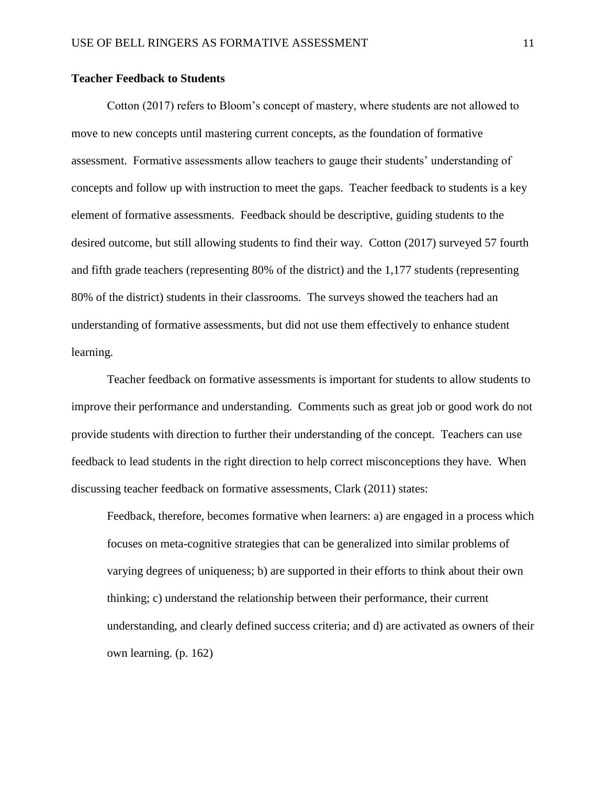# **Teacher Feedback to Students**

Cotton (2017) refers to Bloom's concept of mastery, where students are not allowed to move to new concepts until mastering current concepts, as the foundation of formative assessment. Formative assessments allow teachers to gauge their students' understanding of concepts and follow up with instruction to meet the gaps. Teacher feedback to students is a key element of formative assessments. Feedback should be descriptive, guiding students to the desired outcome, but still allowing students to find their way. Cotton (2017) surveyed 57 fourth and fifth grade teachers (representing 80% of the district) and the 1,177 students (representing 80% of the district) students in their classrooms. The surveys showed the teachers had an understanding of formative assessments, but did not use them effectively to enhance student learning.

Teacher feedback on formative assessments is important for students to allow students to improve their performance and understanding. Comments such as great job or good work do not provide students with direction to further their understanding of the concept. Teachers can use feedback to lead students in the right direction to help correct misconceptions they have. When discussing teacher feedback on formative assessments, Clark (2011) states:

Feedback, therefore, becomes formative when learners: a) are engaged in a process which focuses on meta-cognitive strategies that can be generalized into similar problems of varying degrees of uniqueness; b) are supported in their efforts to think about their own thinking; c) understand the relationship between their performance, their current understanding, and clearly defined success criteria; and d) are activated as owners of their own learning. (p. 162)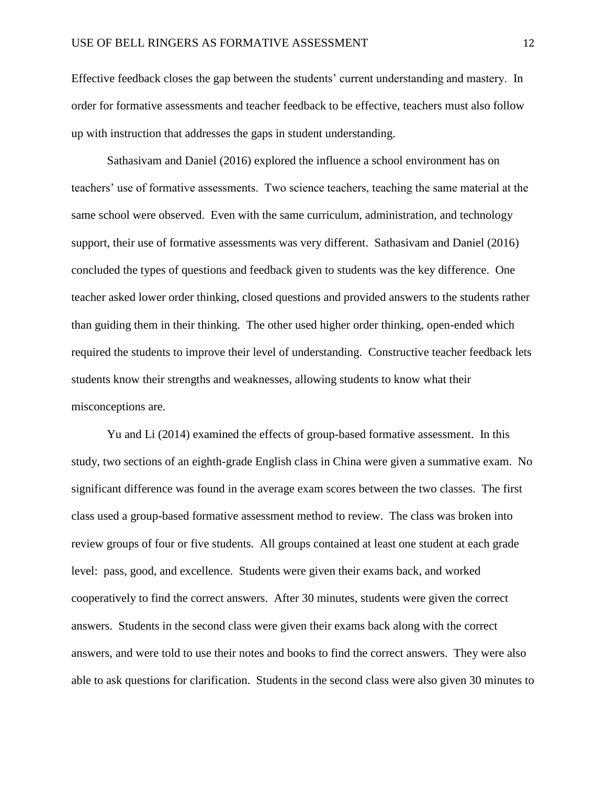Effective feedback closes the gap between the students' current understanding and mastery. In order for formative assessments and teacher feedback to be effective, teachers must also follow up with instruction that addresses the gaps in student understanding.

Sathasivam and Daniel (2016) explored the influence a school environment has on teachers' use of formative assessments. Two science teachers, teaching the same material at the same school were observed. Even with the same curriculum, administration, and technology support, their use of formative assessments was very different. Sathasivam and Daniel (2016) concluded the types of questions and feedback given to students was the key difference. One teacher asked lower order thinking, closed questions and provided answers to the students rather than guiding them in their thinking. The other used higher order thinking, open-ended which required the students to improve their level of understanding. Constructive teacher feedback lets students know their strengths and weaknesses, allowing students to know what their misconceptions are.

Yu and Li (2014) examined the effects of group-based formative assessment. In this study, two sections of an eighth-grade English class in China were given a summative exam. No significant difference was found in the average exam scores between the two classes. The first class used a group-based formative assessment method to review. The class was broken into review groups of four or five students. All groups contained at least one student at each grade level: pass, good, and excellence. Students were given their exams back, and worked cooperatively to find the correct answers. After 30 minutes, students were given the correct answers. Students in the second class were given their exams back along with the correct answers, and were told to use their notes and books to find the correct answers. They were also able to ask questions for clarification. Students in the second class were also given 30 minutes to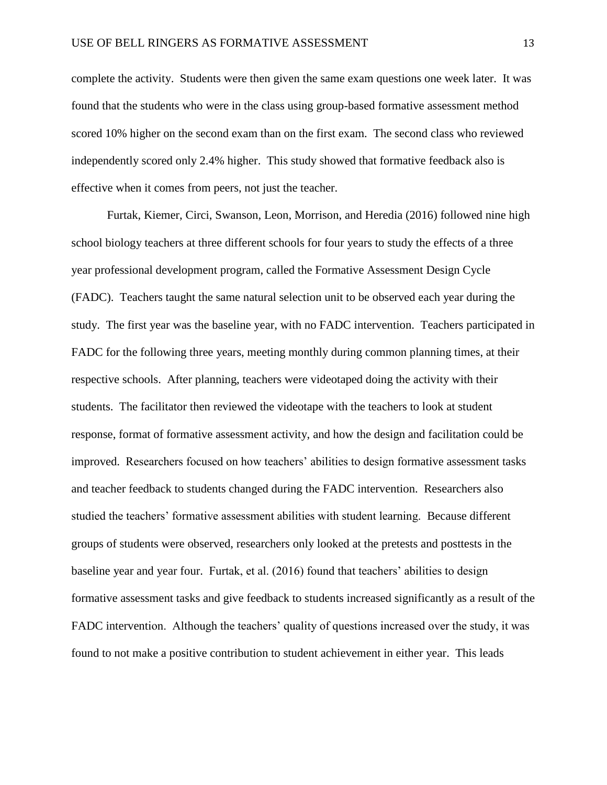complete the activity. Students were then given the same exam questions one week later. It was found that the students who were in the class using group-based formative assessment method scored 10% higher on the second exam than on the first exam. The second class who reviewed independently scored only 2.4% higher. This study showed that formative feedback also is effective when it comes from peers, not just the teacher.

Furtak, Kiemer, Circi, Swanson, Leon, Morrison, and Heredia (2016) followed nine high school biology teachers at three different schools for four years to study the effects of a three year professional development program, called the Formative Assessment Design Cycle (FADC). Teachers taught the same natural selection unit to be observed each year during the study. The first year was the baseline year, with no FADC intervention. Teachers participated in FADC for the following three years, meeting monthly during common planning times, at their respective schools. After planning, teachers were videotaped doing the activity with their students. The facilitator then reviewed the videotape with the teachers to look at student response, format of formative assessment activity, and how the design and facilitation could be improved. Researchers focused on how teachers' abilities to design formative assessment tasks and teacher feedback to students changed during the FADC intervention. Researchers also studied the teachers' formative assessment abilities with student learning. Because different groups of students were observed, researchers only looked at the pretests and posttests in the baseline year and year four. Furtak, et al. (2016) found that teachers' abilities to design formative assessment tasks and give feedback to students increased significantly as a result of the FADC intervention. Although the teachers' quality of questions increased over the study, it was found to not make a positive contribution to student achievement in either year. This leads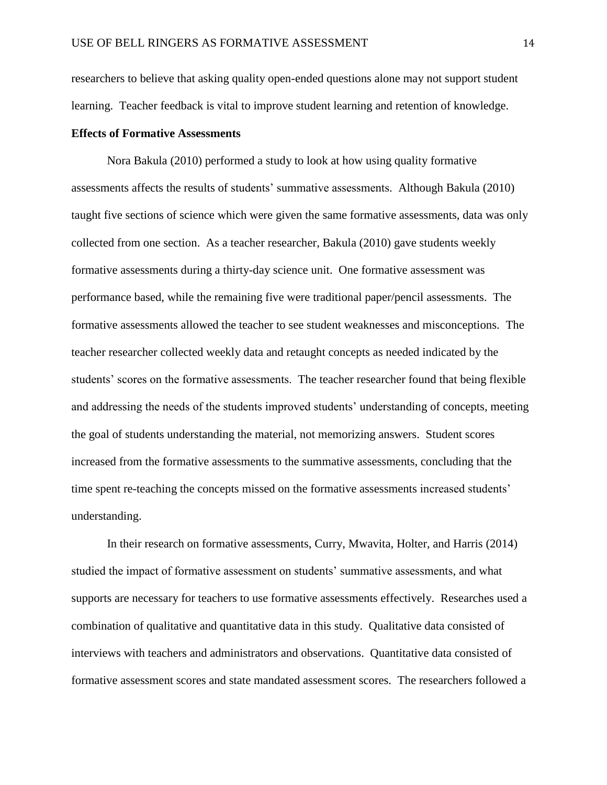researchers to believe that asking quality open-ended questions alone may not support student learning. Teacher feedback is vital to improve student learning and retention of knowledge.

# **Effects of Formative Assessments**

Nora Bakula (2010) performed a study to look at how using quality formative assessments affects the results of students' summative assessments. Although Bakula (2010) taught five sections of science which were given the same formative assessments, data was only collected from one section. As a teacher researcher, Bakula (2010) gave students weekly formative assessments during a thirty-day science unit. One formative assessment was performance based, while the remaining five were traditional paper/pencil assessments. The formative assessments allowed the teacher to see student weaknesses and misconceptions. The teacher researcher collected weekly data and retaught concepts as needed indicated by the students' scores on the formative assessments. The teacher researcher found that being flexible and addressing the needs of the students improved students' understanding of concepts, meeting the goal of students understanding the material, not memorizing answers. Student scores increased from the formative assessments to the summative assessments, concluding that the time spent re-teaching the concepts missed on the formative assessments increased students' understanding.

In their research on formative assessments, Curry, Mwavita, Holter, and Harris (2014) studied the impact of formative assessment on students' summative assessments, and what supports are necessary for teachers to use formative assessments effectively. Researches used a combination of qualitative and quantitative data in this study. Qualitative data consisted of interviews with teachers and administrators and observations. Quantitative data consisted of formative assessment scores and state mandated assessment scores. The researchers followed a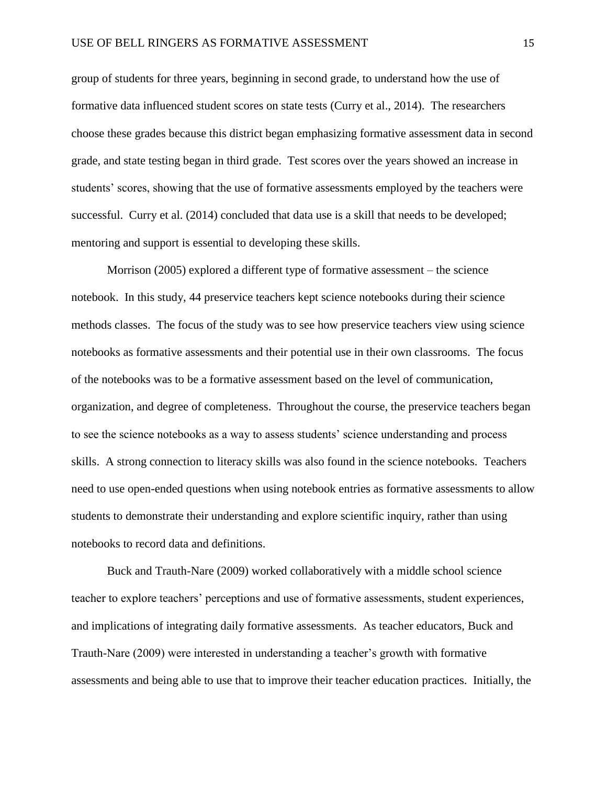group of students for three years, beginning in second grade, to understand how the use of formative data influenced student scores on state tests (Curry et al., 2014). The researchers choose these grades because this district began emphasizing formative assessment data in second grade, and state testing began in third grade. Test scores over the years showed an increase in students' scores, showing that the use of formative assessments employed by the teachers were successful. Curry et al. (2014) concluded that data use is a skill that needs to be developed; mentoring and support is essential to developing these skills.

Morrison (2005) explored a different type of formative assessment – the science notebook. In this study, 44 preservice teachers kept science notebooks during their science methods classes. The focus of the study was to see how preservice teachers view using science notebooks as formative assessments and their potential use in their own classrooms. The focus of the notebooks was to be a formative assessment based on the level of communication, organization, and degree of completeness. Throughout the course, the preservice teachers began to see the science notebooks as a way to assess students' science understanding and process skills. A strong connection to literacy skills was also found in the science notebooks. Teachers need to use open-ended questions when using notebook entries as formative assessments to allow students to demonstrate their understanding and explore scientific inquiry, rather than using notebooks to record data and definitions.

Buck and Trauth-Nare (2009) worked collaboratively with a middle school science teacher to explore teachers' perceptions and use of formative assessments, student experiences, and implications of integrating daily formative assessments. As teacher educators, Buck and Trauth-Nare (2009) were interested in understanding a teacher's growth with formative assessments and being able to use that to improve their teacher education practices. Initially, the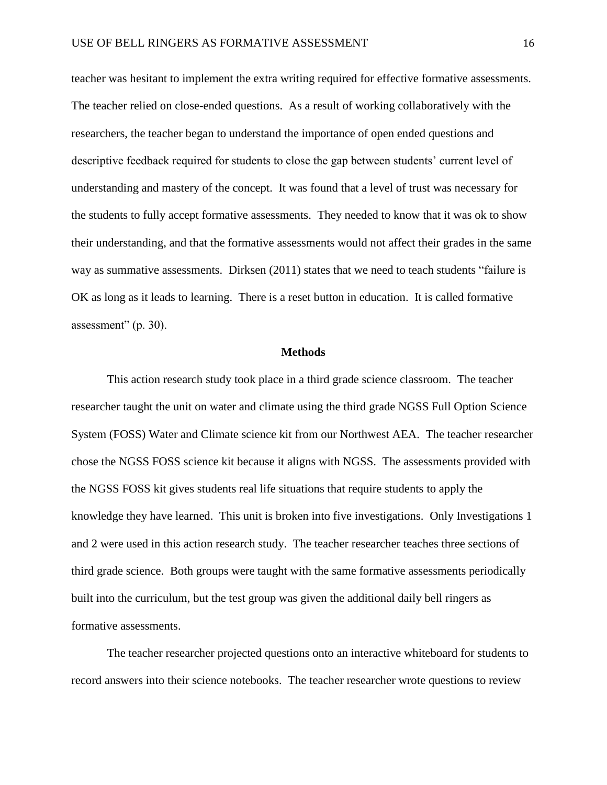teacher was hesitant to implement the extra writing required for effective formative assessments. The teacher relied on close-ended questions. As a result of working collaboratively with the researchers, the teacher began to understand the importance of open ended questions and descriptive feedback required for students to close the gap between students' current level of understanding and mastery of the concept. It was found that a level of trust was necessary for the students to fully accept formative assessments. They needed to know that it was ok to show their understanding, and that the formative assessments would not affect their grades in the same way as summative assessments. Dirksen (2011) states that we need to teach students "failure is OK as long as it leads to learning. There is a reset button in education. It is called formative assessment" (p. 30).

#### **Methods**

This action research study took place in a third grade science classroom. The teacher researcher taught the unit on water and climate using the third grade NGSS Full Option Science System (FOSS) Water and Climate science kit from our Northwest AEA. The teacher researcher chose the NGSS FOSS science kit because it aligns with NGSS. The assessments provided with the NGSS FOSS kit gives students real life situations that require students to apply the knowledge they have learned. This unit is broken into five investigations. Only Investigations 1 and 2 were used in this action research study. The teacher researcher teaches three sections of third grade science. Both groups were taught with the same formative assessments periodically built into the curriculum, but the test group was given the additional daily bell ringers as formative assessments.

The teacher researcher projected questions onto an interactive whiteboard for students to record answers into their science notebooks. The teacher researcher wrote questions to review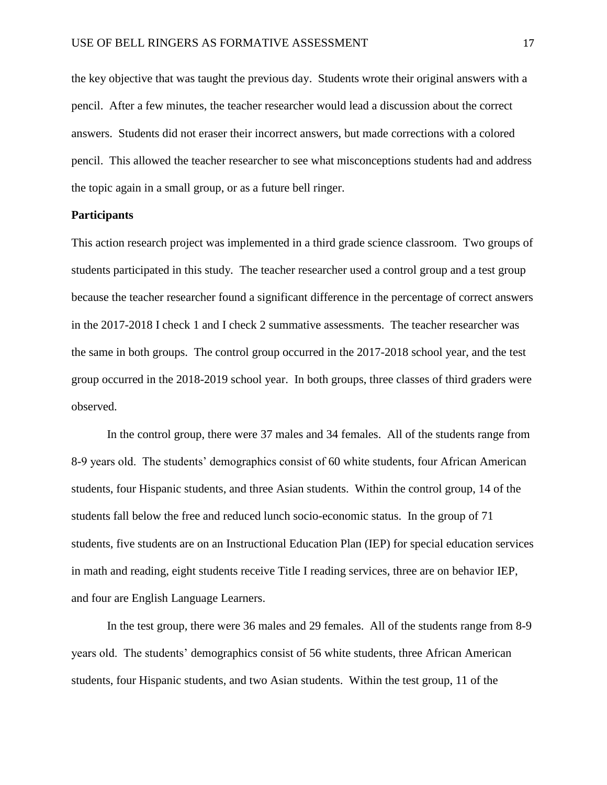the key objective that was taught the previous day. Students wrote their original answers with a pencil. After a few minutes, the teacher researcher would lead a discussion about the correct answers. Students did not eraser their incorrect answers, but made corrections with a colored pencil. This allowed the teacher researcher to see what misconceptions students had and address the topic again in a small group, or as a future bell ringer.

# **Participants**

This action research project was implemented in a third grade science classroom. Two groups of students participated in this study. The teacher researcher used a control group and a test group because the teacher researcher found a significant difference in the percentage of correct answers in the 2017-2018 I check 1 and I check 2 summative assessments. The teacher researcher was the same in both groups. The control group occurred in the 2017-2018 school year, and the test group occurred in the 2018-2019 school year. In both groups, three classes of third graders were observed.

In the control group, there were 37 males and 34 females. All of the students range from 8-9 years old. The students' demographics consist of 60 white students, four African American students, four Hispanic students, and three Asian students. Within the control group, 14 of the students fall below the free and reduced lunch socio-economic status. In the group of 71 students, five students are on an Instructional Education Plan (IEP) for special education services in math and reading, eight students receive Title I reading services, three are on behavior IEP, and four are English Language Learners.

In the test group, there were 36 males and 29 females. All of the students range from 8-9 years old. The students' demographics consist of 56 white students, three African American students, four Hispanic students, and two Asian students. Within the test group, 11 of the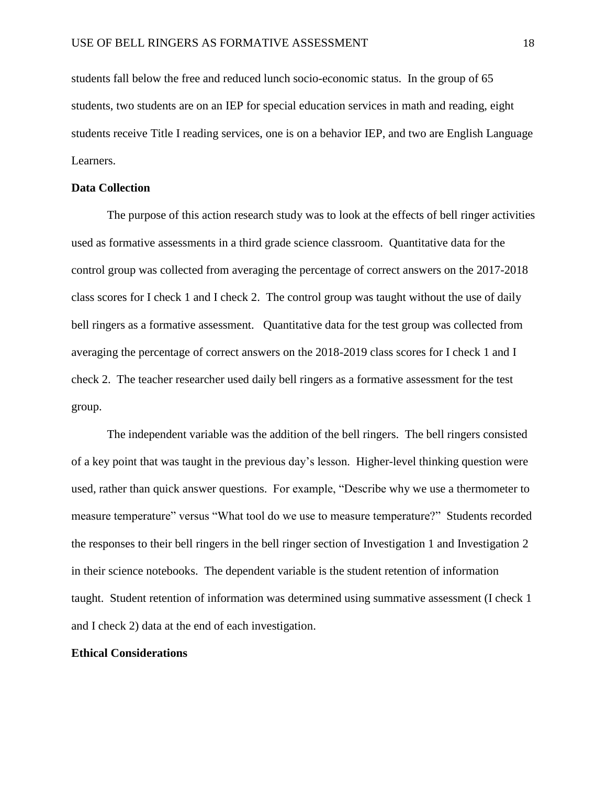students fall below the free and reduced lunch socio-economic status. In the group of 65 students, two students are on an IEP for special education services in math and reading, eight students receive Title I reading services, one is on a behavior IEP, and two are English Language Learners.

# **Data Collection**

The purpose of this action research study was to look at the effects of bell ringer activities used as formative assessments in a third grade science classroom. Quantitative data for the control group was collected from averaging the percentage of correct answers on the 2017-2018 class scores for I check 1 and I check 2. The control group was taught without the use of daily bell ringers as a formative assessment. Quantitative data for the test group was collected from averaging the percentage of correct answers on the 2018-2019 class scores for I check 1 and I check 2. The teacher researcher used daily bell ringers as a formative assessment for the test group.

The independent variable was the addition of the bell ringers. The bell ringers consisted of a key point that was taught in the previous day's lesson. Higher-level thinking question were used, rather than quick answer questions. For example, "Describe why we use a thermometer to measure temperature" versus "What tool do we use to measure temperature?" Students recorded the responses to their bell ringers in the bell ringer section of Investigation 1 and Investigation 2 in their science notebooks. The dependent variable is the student retention of information taught. Student retention of information was determined using summative assessment (I check 1 and I check 2) data at the end of each investigation.

#### **Ethical Considerations**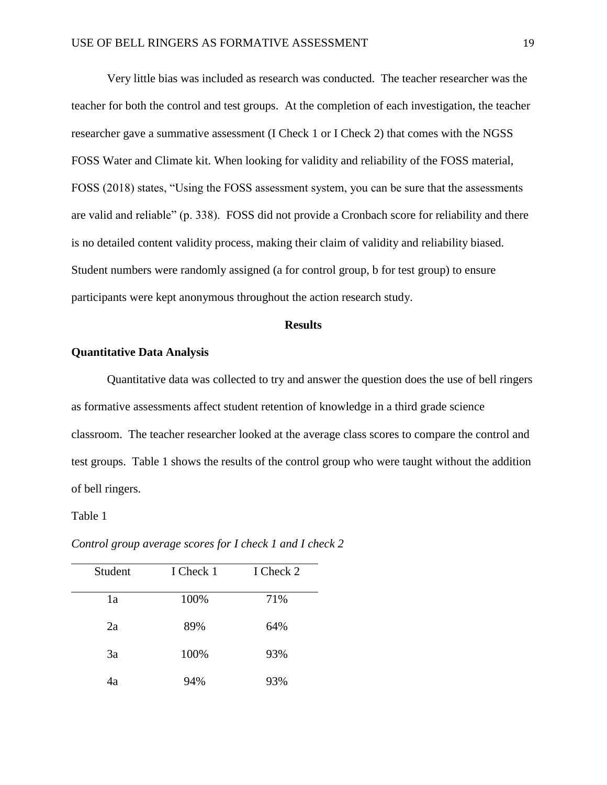Very little bias was included as research was conducted. The teacher researcher was the teacher for both the control and test groups. At the completion of each investigation, the teacher researcher gave a summative assessment (I Check 1 or I Check 2) that comes with the NGSS FOSS Water and Climate kit. When looking for validity and reliability of the FOSS material, FOSS (2018) states, "Using the FOSS assessment system, you can be sure that the assessments are valid and reliable" (p. 338). FOSS did not provide a Cronbach score for reliability and there is no detailed content validity process, making their claim of validity and reliability biased. Student numbers were randomly assigned (a for control group, b for test group) to ensure participants were kept anonymous throughout the action research study.

### **Results**

# **Quantitative Data Analysis**

Quantitative data was collected to try and answer the question does the use of bell ringers as formative assessments affect student retention of knowledge in a third grade science classroom. The teacher researcher looked at the average class scores to compare the control and test groups. Table 1 shows the results of the control group who were taught without the addition of bell ringers.

#### Table 1

| Student | I Check 1 | I Check 2 |
|---------|-----------|-----------|
| 1a      | 100%      | 71%       |
| 2a      | 89%       | 64%       |
| 3a      | 100%      | 93%       |
| 4a      | 94%       | 93%       |

*Control group average scores for I check 1 and I check 2*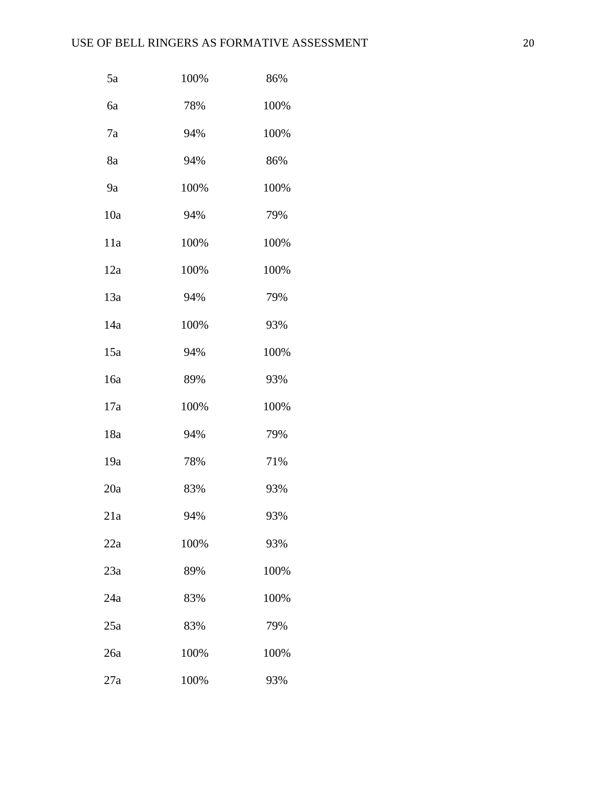| 5a  | 100% | 86%  |
|-----|------|------|
| 6a  | 78%  | 100% |
| 7a  | 94%  | 100% |
| 8a  | 94%  | 86%  |
| 9a  | 100% | 100% |
| 10a | 94%  | 79%  |
| 11a | 100% | 100% |
| 12a | 100% | 100% |
| 13a | 94%  | 79%  |
| 14a | 100% | 93%  |
| 15a | 94%  | 100% |
| 16a | 89%  | 93%  |
| 17a | 100% | 100% |
| 18a | 94%  | 79%  |
| 19a | 78%  | 71%  |
| 20a | 83%  | 93%  |
| 21a | 94%  | 93%  |
| 22a | 100% | 93%  |
| 23a | 89%  | 100% |
| 24a | 83%  | 100% |
| 25a | 83%  | 79%  |
| 26a | 100% | 100% |
| 27a | 100% | 93%  |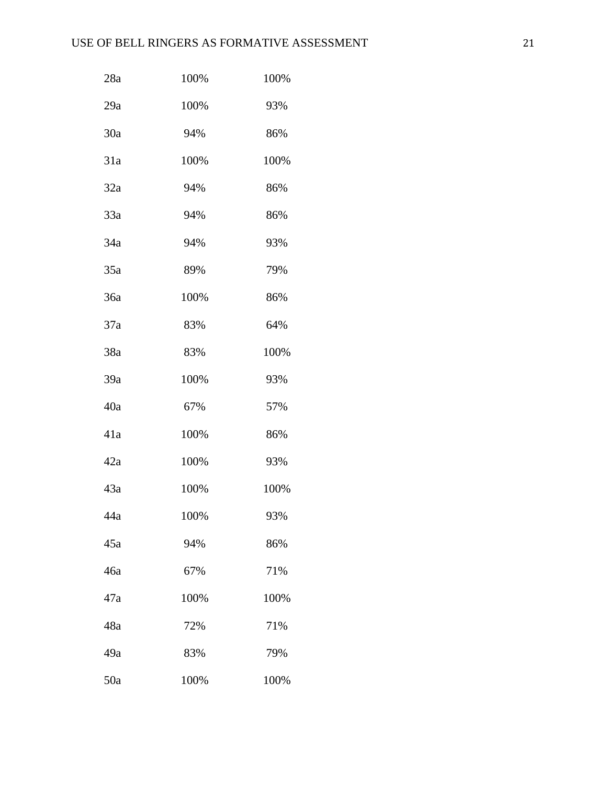| 28a | 100% | 100% |
|-----|------|------|
| 29a | 100% | 93%  |
| 30a | 94%  | 86%  |
| 31a | 100% | 100% |
| 32a | 94%  | 86%  |
| 33a | 94%  | 86%  |
| 34a | 94%  | 93%  |
| 35a | 89%  | 79%  |
| 36a | 100% | 86%  |
| 37a | 83%  | 64%  |
| 38a | 83%  | 100% |
| 39a | 100% | 93%  |
| 40a | 67%  | 57%  |
| 41a | 100% | 86%  |
| 42a | 100% | 93%  |
| 43a | 100% | 100% |
| 44a | 100% | 93%  |
| 45a | 94%  | 86%  |
| 46a | 67%  | 71%  |
| 47a | 100% | 100% |
| 48a | 72%  | 71%  |
| 49a | 83%  | 79%  |
| 50a | 100% | 100% |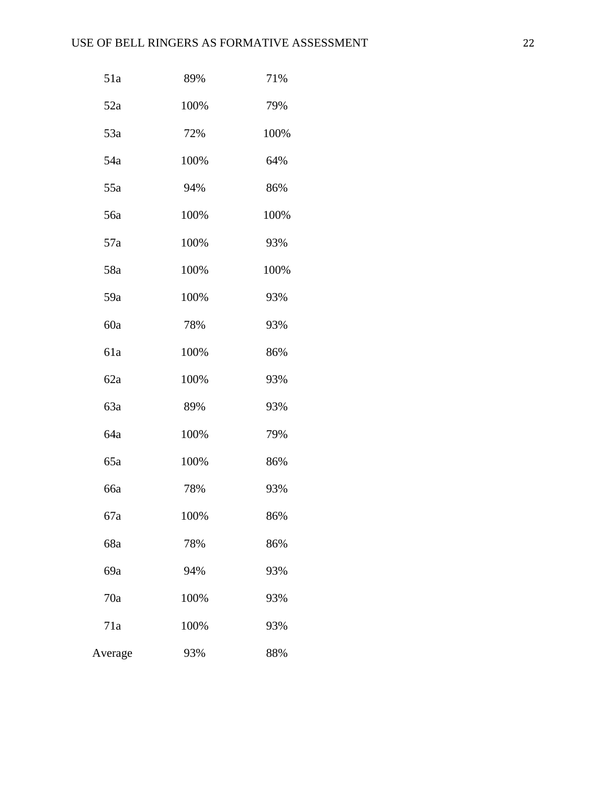| 51a     | 89%  | 71%  |
|---------|------|------|
| 52a     | 100% | 79%  |
| 53a     | 72%  | 100% |
| 54a     | 100% | 64%  |
| 55a     | 94%  | 86%  |
| 56a     | 100% | 100% |
| 57a     | 100% | 93%  |
| 58a     | 100% | 100% |
| 59a     | 100% | 93%  |
| 60a     | 78%  | 93%  |
| 61a     | 100% | 86%  |
| 62a     | 100% | 93%  |
| 63a     | 89%  | 93%  |
| 64a     | 100% | 79%  |
| 65a     | 100% | 86%  |
| 66a     | 78%  | 93%  |
| 67a     | 100% | 86%  |
| 68a     | 78%  | 86%  |
| 69a     | 94%  | 93%  |
| 70a     | 100% | 93%  |
| 71a     | 100% | 93%  |
| Average | 93%  | 88%  |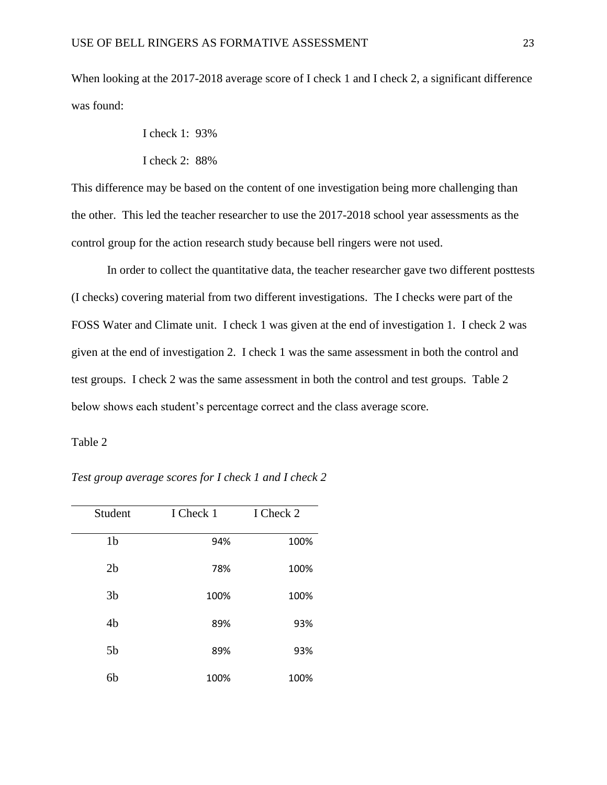When looking at the 2017-2018 average score of I check 1 and I check 2, a significant difference was found:

I check 1: 93%

I check 2: 88%

This difference may be based on the content of one investigation being more challenging than the other. This led the teacher researcher to use the 2017-2018 school year assessments as the control group for the action research study because bell ringers were not used.

In order to collect the quantitative data, the teacher researcher gave two different posttests (I checks) covering material from two different investigations. The I checks were part of the FOSS Water and Climate unit. I check 1 was given at the end of investigation 1. I check 2 was given at the end of investigation 2. I check 1 was the same assessment in both the control and test groups. I check 2 was the same assessment in both the control and test groups. Table 2 below shows each student's percentage correct and the class average score.

Table 2

| Student        | I Check 1 | I Check 2 |
|----------------|-----------|-----------|
| 1 <sub>b</sub> | 94%       | 100%      |
| 2 <sub>b</sub> | 78%       | 100%      |
| 3 <sub>b</sub> | 100%      | 100%      |
| 4 <sub>b</sub> | 89%       | 93%       |
| 5 <sub>b</sub> | 89%       | 93%       |
| 6b             | 100%      | 100%      |

*Test group average scores for I check 1 and I check 2*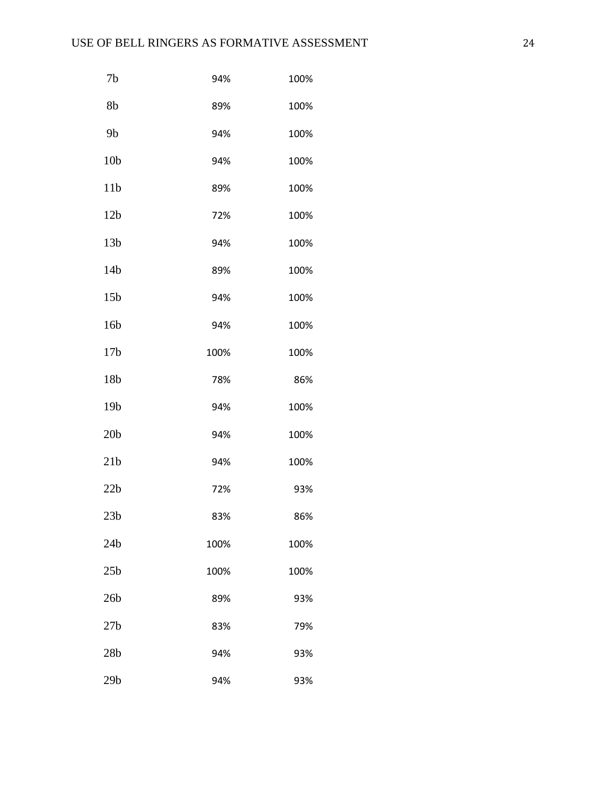| 7 <sub>b</sub>  | 94%  | 100% |
|-----------------|------|------|
| 8b              | 89%  | 100% |
| 9 <sub>b</sub>  | 94%  | 100% |
| 10 <sub>b</sub> | 94%  | 100% |
| 11 <sub>b</sub> | 89%  | 100% |
| 12 <sub>b</sub> | 72%  | 100% |
| 13 <sub>b</sub> | 94%  | 100% |
| 14 <sub>b</sub> | 89%  | 100% |
| 15 <sub>b</sub> | 94%  | 100% |
| 16 <sub>b</sub> | 94%  | 100% |
| 17 <sub>b</sub> | 100% | 100% |
| 18b             | 78%  | 86%  |
| 19 <sub>b</sub> | 94%  | 100% |
| 20 <sub>b</sub> | 94%  | 100% |
| 21 <sub>b</sub> | 94%  | 100% |
| 22b             | 72%  | 93%  |
| 23 <sub>b</sub> | 83%  | 86%  |
| 24 <sub>b</sub> | 100% | 100% |
| 25 <sub>b</sub> | 100% | 100% |
| 26 <sub>b</sub> | 89%  | 93%  |
| 27 <sub>b</sub> | 83%  | 79%  |
| 28 <sub>b</sub> | 94%  | 93%  |
| 29 <sub>b</sub> | 94%  | 93%  |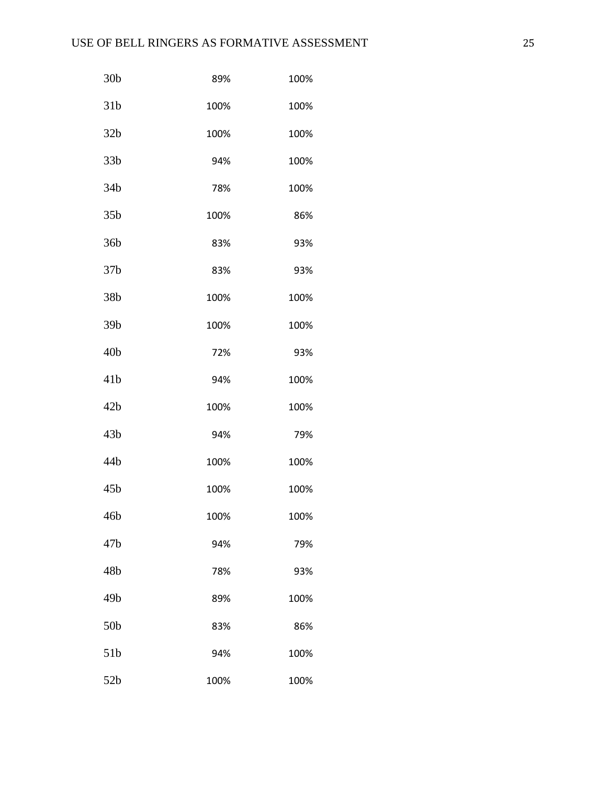| 30 <sub>b</sub> | 89%  | 100% |
|-----------------|------|------|
| 31 <sub>b</sub> | 100% | 100% |
| 32 <sub>b</sub> | 100% | 100% |
| 33 <sub>b</sub> | 94%  | 100% |
| 34 <sub>b</sub> | 78%  | 100% |
| 35 <sub>b</sub> | 100% | 86%  |
| 36b             | 83%  | 93%  |
| 37 <sub>b</sub> | 83%  | 93%  |
| 38b             | 100% | 100% |
| 39 <sub>b</sub> | 100% | 100% |
| 40 <sub>b</sub> | 72%  | 93%  |
| 41 <sub>b</sub> | 94%  | 100% |
| 42 <sub>b</sub> | 100% | 100% |
| 43 <sub>b</sub> | 94%  | 79%  |
| 44b             | 100% | 100% |
| 45 <sub>b</sub> | 100% | 100% |
| 46b             | 100% | 100% |
| 47 <sub>b</sub> | 94%  | 79%  |
| 48b             | 78%  | 93%  |
| 49b             | 89%  | 100% |
| 50 <sub>b</sub> | 83%  | 86%  |
| 51 <sub>b</sub> | 94%  | 100% |
| 52b             | 100% | 100% |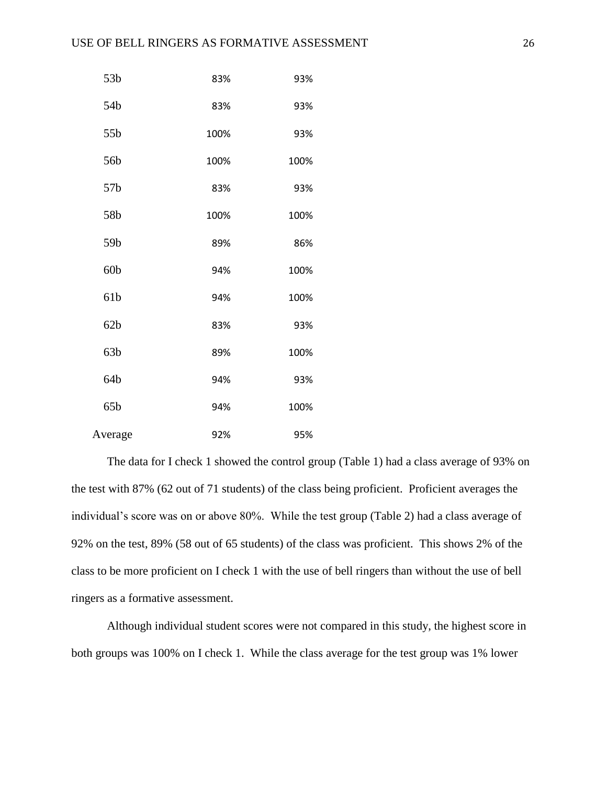| 53 <sub>b</sub> | 83%  | 93%  |
|-----------------|------|------|
| 54b             | 83%  | 93%  |
| 55b             | 100% | 93%  |
| 56b             | 100% | 100% |
| 57 <sub>b</sub> | 83%  | 93%  |
| 58b             | 100% | 100% |
| 59b             | 89%  | 86%  |
| 60 <sub>b</sub> | 94%  | 100% |
| 61b             | 94%  | 100% |
| 62 <sub>b</sub> | 83%  | 93%  |
| 63 <sub>b</sub> | 89%  | 100% |
| 64b             | 94%  | 93%  |
| 65b             | 94%  | 100% |
| Average         | 92%  | 95%  |

The data for I check 1 showed the control group (Table 1) had a class average of 93% on the test with 87% (62 out of 71 students) of the class being proficient. Proficient averages the individual's score was on or above 80%. While the test group (Table 2) had a class average of 92% on the test, 89% (58 out of 65 students) of the class was proficient. This shows 2% of the class to be more proficient on I check 1 with the use of bell ringers than without the use of bell ringers as a formative assessment.

Although individual student scores were not compared in this study, the highest score in both groups was 100% on I check 1. While the class average for the test group was 1% lower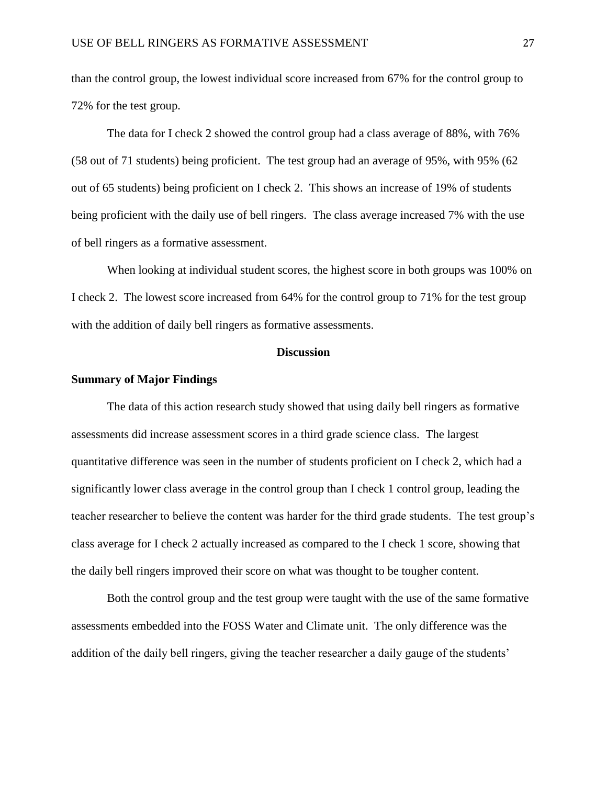than the control group, the lowest individual score increased from 67% for the control group to 72% for the test group.

The data for I check 2 showed the control group had a class average of 88%, with 76% (58 out of 71 students) being proficient. The test group had an average of 95%, with 95% (62 out of 65 students) being proficient on I check 2. This shows an increase of 19% of students being proficient with the daily use of bell ringers. The class average increased 7% with the use of bell ringers as a formative assessment.

When looking at individual student scores, the highest score in both groups was 100% on I check 2. The lowest score increased from 64% for the control group to 71% for the test group with the addition of daily bell ringers as formative assessments.

#### **Discussion**

# <span id="page-27-0"></span>**Summary of Major Findings**

The data of this action research study showed that using daily bell ringers as formative assessments did increase assessment scores in a third grade science class. The largest quantitative difference was seen in the number of students proficient on I check 2, which had a significantly lower class average in the control group than I check 1 control group, leading the teacher researcher to believe the content was harder for the third grade students. The test group's class average for I check 2 actually increased as compared to the I check 1 score, showing that the daily bell ringers improved their score on what was thought to be tougher content.

Both the control group and the test group were taught with the use of the same formative assessments embedded into the FOSS Water and Climate unit. The only difference was the addition of the daily bell ringers, giving the teacher researcher a daily gauge of the students'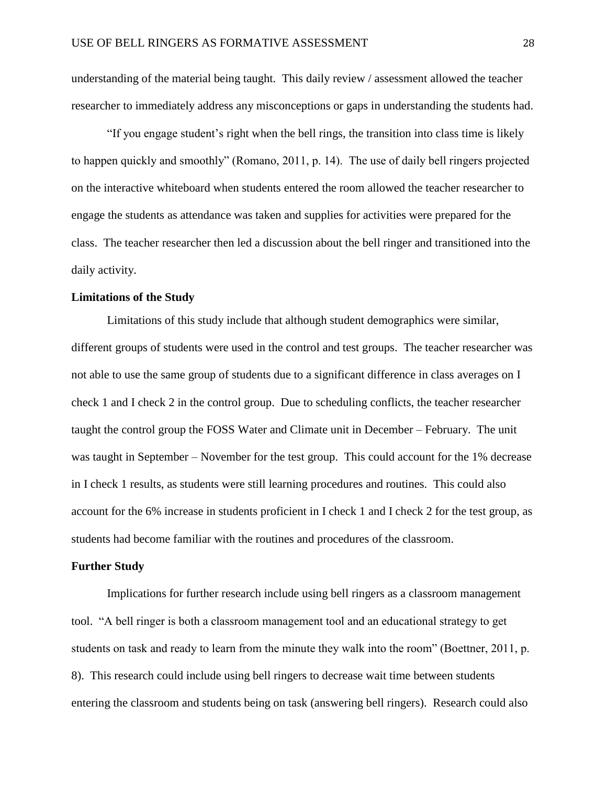understanding of the material being taught. This daily review / assessment allowed the teacher researcher to immediately address any misconceptions or gaps in understanding the students had.

"If you engage student's right when the bell rings, the transition into class time is likely to happen quickly and smoothly" (Romano, 2011, p. 14). The use of daily bell ringers projected on the interactive whiteboard when students entered the room allowed the teacher researcher to engage the students as attendance was taken and supplies for activities were prepared for the class. The teacher researcher then led a discussion about the bell ringer and transitioned into the daily activity.

# **Limitations of the Study**

Limitations of this study include that although student demographics were similar, different groups of students were used in the control and test groups. The teacher researcher was not able to use the same group of students due to a significant difference in class averages on I check 1 and I check 2 in the control group. Due to scheduling conflicts, the teacher researcher taught the control group the FOSS Water and Climate unit in December – February. The unit was taught in September – November for the test group. This could account for the 1% decrease in I check 1 results, as students were still learning procedures and routines. This could also account for the 6% increase in students proficient in I check 1 and I check 2 for the test group, as students had become familiar with the routines and procedures of the classroom.

# **Further Study**

Implications for further research include using bell ringers as a classroom management tool. "A bell ringer is both a classroom management tool and an educational strategy to get students on task and ready to learn from the minute they walk into the room" (Boettner, 2011, p. 8). This research could include using bell ringers to decrease wait time between students entering the classroom and students being on task (answering bell ringers). Research could also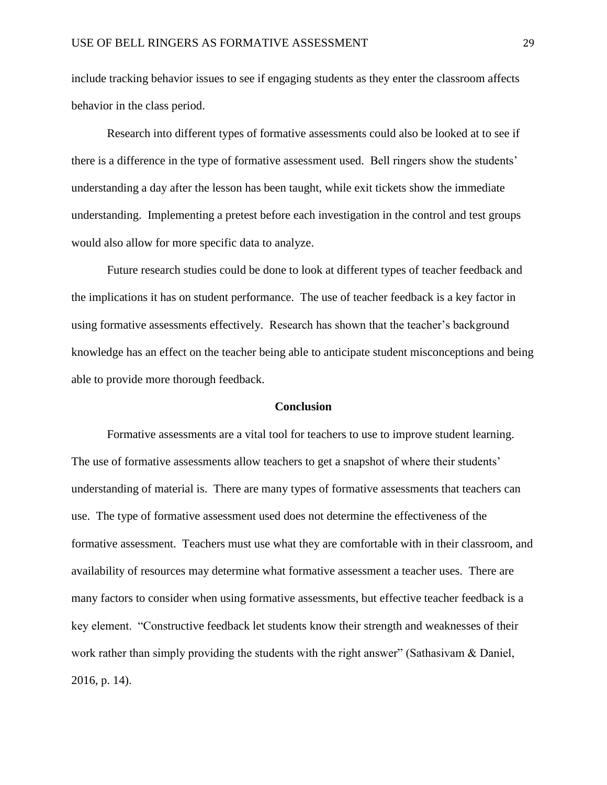include tracking behavior issues to see if engaging students as they enter the classroom affects behavior in the class period.

Research into different types of formative assessments could also be looked at to see if there is a difference in the type of formative assessment used. Bell ringers show the students' understanding a day after the lesson has been taught, while exit tickets show the immediate understanding. Implementing a pretest before each investigation in the control and test groups would also allow for more specific data to analyze.

Future research studies could be done to look at different types of teacher feedback and the implications it has on student performance. The use of teacher feedback is a key factor in using formative assessments effectively. Research has shown that the teacher's background knowledge has an effect on the teacher being able to anticipate student misconceptions and being able to provide more thorough feedback.

#### **Conclusion**

Formative assessments are a vital tool for teachers to use to improve student learning. The use of formative assessments allow teachers to get a snapshot of where their students' understanding of material is. There are many types of formative assessments that teachers can use. The type of formative assessment used does not determine the effectiveness of the formative assessment. Teachers must use what they are comfortable with in their classroom, and availability of resources may determine what formative assessment a teacher uses. There are many factors to consider when using formative assessments, but effective teacher feedback is a key element. "Constructive feedback let students know their strength and weaknesses of their work rather than simply providing the students with the right answer" (Sathasivam & Daniel, 2016, p. 14).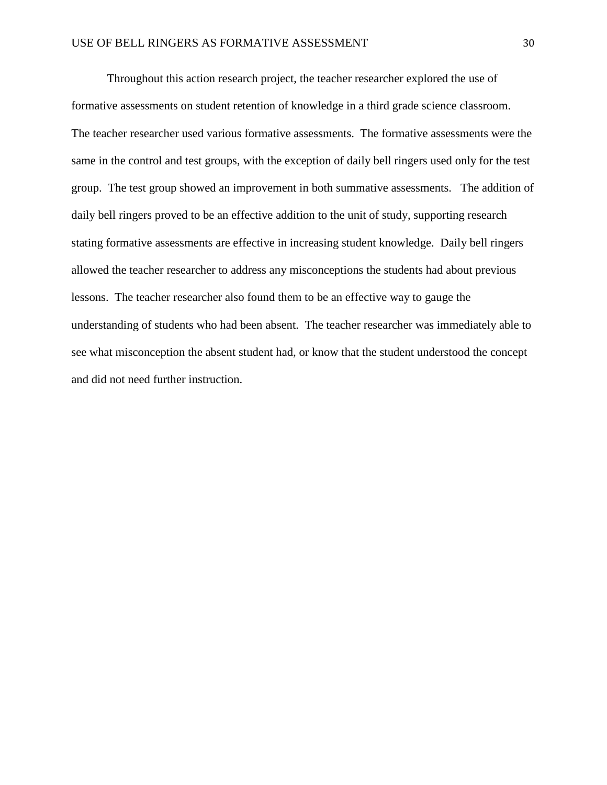Throughout this action research project, the teacher researcher explored the use of formative assessments on student retention of knowledge in a third grade science classroom. The teacher researcher used various formative assessments. The formative assessments were the same in the control and test groups, with the exception of daily bell ringers used only for the test group. The test group showed an improvement in both summative assessments. The addition of daily bell ringers proved to be an effective addition to the unit of study, supporting research stating formative assessments are effective in increasing student knowledge. Daily bell ringers allowed the teacher researcher to address any misconceptions the students had about previous lessons. The teacher researcher also found them to be an effective way to gauge the understanding of students who had been absent. The teacher researcher was immediately able to see what misconception the absent student had, or know that the student understood the concept and did not need further instruction.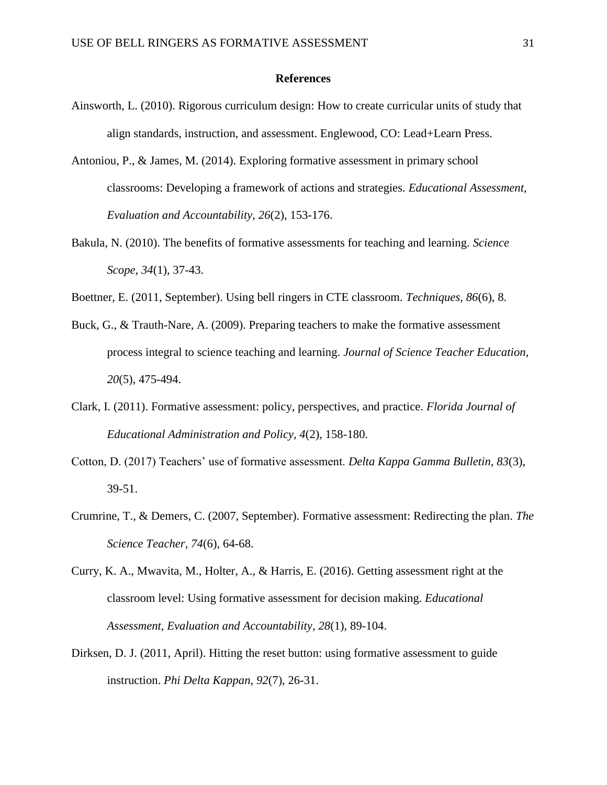#### **References**

- <span id="page-31-0"></span>Ainsworth, L. (2010). Rigorous curriculum design: How to create curricular units of study that align standards, instruction, and assessment. Englewood, CO: Lead+Learn Press.
- Antoniou, P., & James, M. (2014). Exploring formative assessment in primary school classrooms: Developing a framework of actions and strategies. *Educational Assessment, Evaluation and Accountability, 26*(2), 153-176.
- Bakula, N. (2010). The benefits of formative assessments for teaching and learning. *Science Scope, 34*(1), 37-43.
- Boettner, E. (2011, September). Using bell ringers in CTE classroom. *Techniques, 86*(6), 8.
- Buck, G., & Trauth-Nare, A. (2009). Preparing teachers to make the formative assessment process integral to science teaching and learning. *Journal of Science Teacher Education, 20*(5), 475-494.
- Clark, I. (2011). Formative assessment: policy, perspectives, and practice. *Florida Journal of Educational Administration and Policy, 4*(2), 158-180.
- Cotton, D. (2017) Teachers' use of formative assessment. *Delta Kappa Gamma Bulletin, 83*(3), 39-51.
- Crumrine, T., & Demers, C. (2007, September). Formative assessment: Redirecting the plan. *The Science Teacher, 74*(6), 64-68.
- Curry, K. A., Mwavita, M., Holter, A., & Harris, E. (2016). Getting assessment right at the classroom level: Using formative assessment for decision making. *Educational Assessment, Evaluation and Accountability, 28*(1), 89-104.
- Dirksen, D. J. (2011, April). Hitting the reset button: using formative assessment to guide instruction. *Phi Delta Kappan*, *92*(7), 26-31.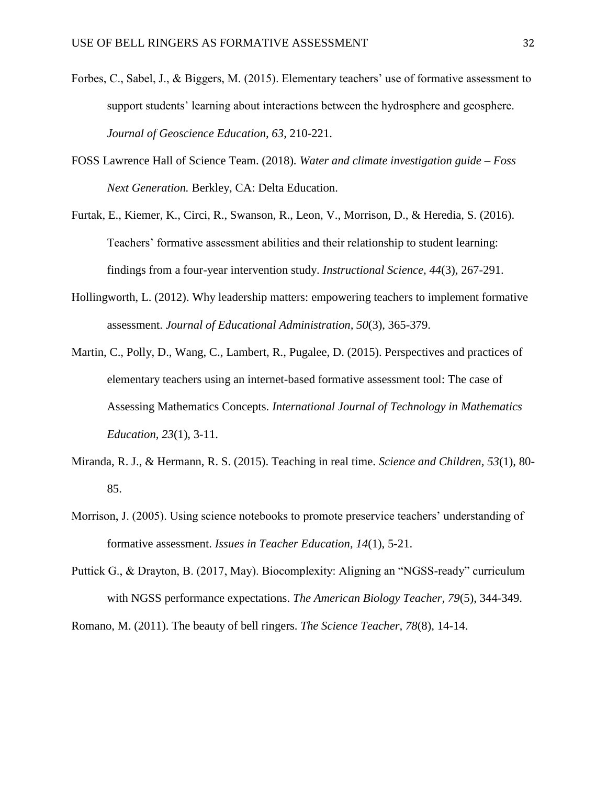- Forbes, C., Sabel, J., & Biggers, M. (2015). Elementary teachers' use of formative assessment to support students' learning about interactions between the hydrosphere and geosphere. *Journal of Geoscience Education, 63*, 210-221.
- FOSS Lawrence Hall of Science Team. (2018). *Water and climate investigation guide – Foss Next Generation.* Berkley, CA: Delta Education.
- Furtak, E., Kiemer, K., Circi, R., Swanson, R., Leon, V., Morrison, D., & Heredia, S. (2016). Teachers' formative assessment abilities and their relationship to student learning: findings from a four-year intervention study. *Instructional Science, 44*(3), 267-291.
- Hollingworth, L. (2012). Why leadership matters: empowering teachers to implement formative assessment. *Journal of Educational Administration, 50*(3), 365-379.
- Martin, C., Polly, D., Wang, C., Lambert, R., Pugalee, D. (2015). Perspectives and practices of elementary teachers using an internet-based formative assessment tool: The case of Assessing Mathematics Concepts. *International Journal of Technology in Mathematics Education, 23*(1), 3-11.
- Miranda, R. J., & Hermann, R. S. (2015). Teaching in real time. *Science and Children, 53*(1), 80- 85.
- Morrison, J. (2005). Using science notebooks to promote preservice teachers' understanding of formative assessment. *Issues in Teacher Education, 14*(1), 5-21.
- Puttick G., & Drayton, B. (2017, May). Biocomplexity: Aligning an "NGSS-ready" curriculum with NGSS performance expectations. *The American Biology Teacher, 79*(5), 344-349.

Romano, M. (2011). The beauty of bell ringers. *The Science Teacher, 78*(8), 14-14.